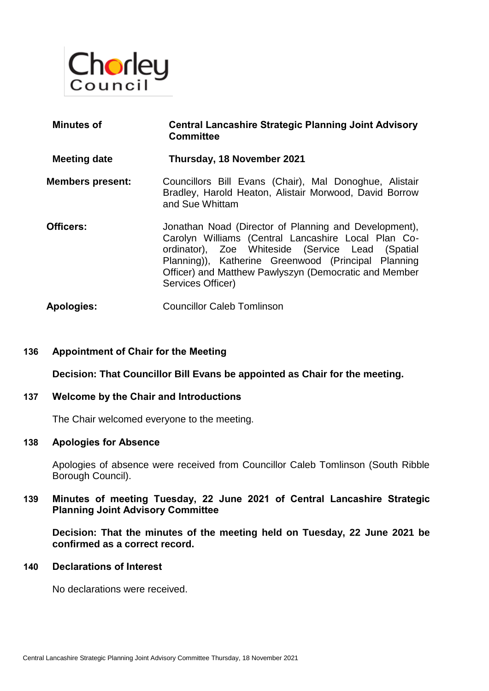

| <b>Minutes of</b>       | <b>Central Lancashire Strategic Planning Joint Advisory</b><br><b>Committee</b>                                                                                                                                                                                                                       |
|-------------------------|-------------------------------------------------------------------------------------------------------------------------------------------------------------------------------------------------------------------------------------------------------------------------------------------------------|
| <b>Meeting date</b>     | Thursday, 18 November 2021                                                                                                                                                                                                                                                                            |
| <b>Members present:</b> | Councillors Bill Evans (Chair), Mal Donoghue, Alistair<br>Bradley, Harold Heaton, Alistair Morwood, David Borrow<br>and Sue Whittam                                                                                                                                                                   |
| Officers:               | Jonathan Noad (Director of Planning and Development),<br>Carolyn Williams (Central Lancashire Local Plan Co-<br>ordinator), Zoe Whiteside (Service Lead (Spatial<br>Planning)), Katherine Greenwood (Principal Planning<br>Officer) and Matthew Pawlyszyn (Democratic and Member<br>Services Officer) |
| <b>Apologies:</b>       | <b>Councillor Caleb Tomlinson</b>                                                                                                                                                                                                                                                                     |

### **136 Appointment of Chair for the Meeting**

**Decision: That Councillor Bill Evans be appointed as Chair for the meeting.** 

### **137 Welcome by the Chair and Introductions**

The Chair welcomed everyone to the meeting.

### **138 Apologies for Absence**

Apologies of absence were received from Councillor Caleb Tomlinson (South Ribble Borough Council).

## **139 Minutes of meeting Tuesday, 22 June 2021 of Central Lancashire Strategic Planning Joint Advisory Committee**

**Decision: That the minutes of the meeting held on Tuesday, 22 June 2021 be confirmed as a correct record.** 

#### **140 Declarations of Interest**

No declarations were received.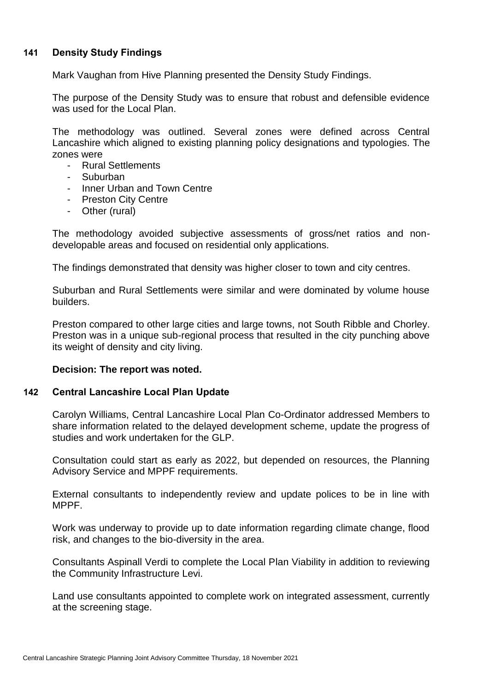# **141 Density Study Findings**

Mark Vaughan from Hive Planning presented the Density Study Findings.

The purpose of the Density Study was to ensure that robust and defensible evidence was used for the Local Plan.

The methodology was outlined. Several zones were defined across Central Lancashire which aligned to existing planning policy designations and typologies. The zones were

- Rural Settlements
- Suburban
- Inner Urban and Town Centre
- Preston City Centre
- Other (rural)

The methodology avoided subjective assessments of gross/net ratios and nondevelopable areas and focused on residential only applications.

The findings demonstrated that density was higher closer to town and city centres.

Suburban and Rural Settlements were similar and were dominated by volume house builders.

Preston compared to other large cities and large towns, not South Ribble and Chorley. Preston was in a unique sub-regional process that resulted in the city punching above its weight of density and city living.

### **Decision: The report was noted.**

### **142 Central Lancashire Local Plan Update**

Carolyn Williams, Central Lancashire Local Plan Co-Ordinator addressed Members to share information related to the delayed development scheme, update the progress of studies and work undertaken for the GLP.

Consultation could start as early as 2022, but depended on resources, the Planning Advisory Service and MPPF requirements.

External consultants to independently review and update polices to be in line with MPPF.

Work was underway to provide up to date information regarding climate change, flood risk, and changes to the bio-diversity in the area.

Consultants Aspinall Verdi to complete the Local Plan Viability in addition to reviewing the Community Infrastructure Levi.

Land use consultants appointed to complete work on integrated assessment, currently at the screening stage.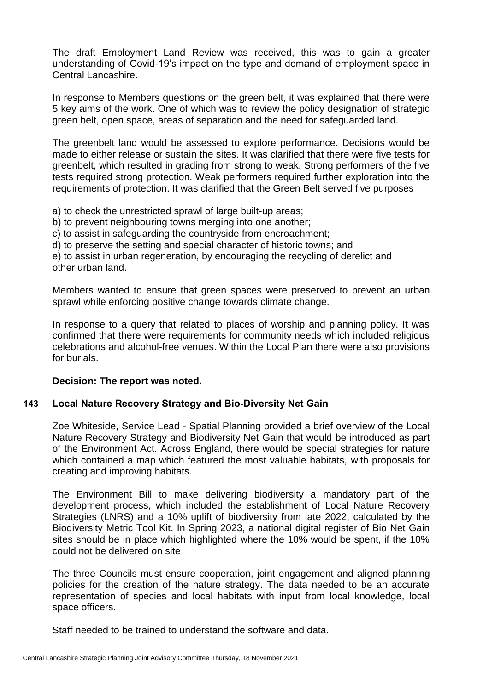The draft Employment Land Review was received, this was to gain a greater understanding of Covid-19's impact on the type and demand of employment space in Central Lancashire.

In response to Members questions on the green belt, it was explained that there were 5 key aims of the work. One of which was to review the policy designation of strategic green belt, open space, areas of separation and the need for safeguarded land.

The greenbelt land would be assessed to explore performance. Decisions would be made to either release or sustain the sites. It was clarified that there were five tests for greenbelt, which resulted in grading from strong to weak. Strong performers of the five tests required strong protection. Weak performers required further exploration into the requirements of protection. It was clarified that the Green Belt served five purposes

a) to check the unrestricted sprawl of large built-up areas;

b) to prevent neighbouring towns merging into one another;

c) to assist in safeguarding the countryside from encroachment;

d) to preserve the setting and special character of historic towns; and

e) to assist in urban regeneration, by encouraging the recycling of derelict and other urban land.

Members wanted to ensure that green spaces were preserved to prevent an urban sprawl while enforcing positive change towards climate change.

In response to a query that related to places of worship and planning policy. It was confirmed that there were requirements for community needs which included religious celebrations and alcohol-free venues. Within the Local Plan there were also provisions for burials.

## **Decision: The report was noted.**

## **143 Local Nature Recovery Strategy and Bio-Diversity Net Gain**

Zoe Whiteside, Service Lead - Spatial Planning provided a brief overview of the Local Nature Recovery Strategy and Biodiversity Net Gain that would be introduced as part of the Environment Act. Across England, there would be special strategies for nature which contained a map which featured the most valuable habitats, with proposals for creating and improving habitats.

The Environment Bill to make delivering biodiversity a mandatory part of the development process, which included the establishment of Local Nature Recovery Strategies (LNRS) and a 10% uplift of biodiversity from late 2022, calculated by the Biodiversity Metric Tool Kit. In Spring 2023, a national digital register of Bio Net Gain sites should be in place which highlighted where the 10% would be spent, if the 10% could not be delivered on site

The three Councils must ensure cooperation, joint engagement and aligned planning policies for the creation of the nature strategy. The data needed to be an accurate representation of species and local habitats with input from local knowledge, local space officers.

Staff needed to be trained to understand the software and data.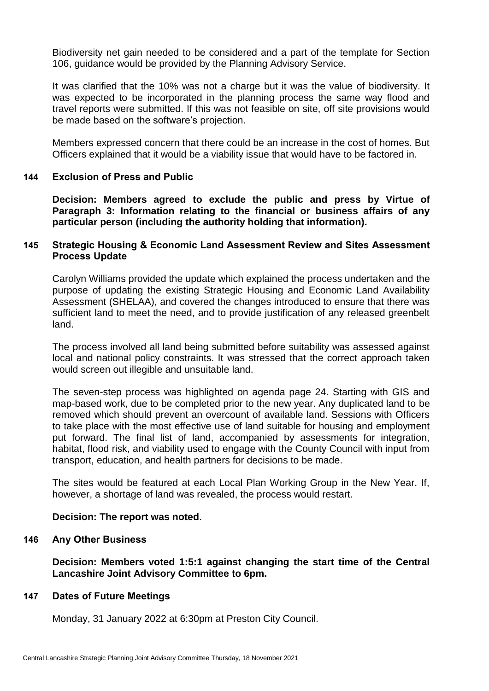Biodiversity net gain needed to be considered and a part of the template for Section 106, guidance would be provided by the Planning Advisory Service.

It was clarified that the 10% was not a charge but it was the value of biodiversity. It was expected to be incorporated in the planning process the same way flood and travel reports were submitted. If this was not feasible on site, off site provisions would be made based on the software's projection.

Members expressed concern that there could be an increase in the cost of homes. But Officers explained that it would be a viability issue that would have to be factored in.

### **144 Exclusion of Press and Public**

**Decision: Members agreed to exclude the public and press by Virtue of Paragraph 3: Information relating to the financial or business affairs of any particular person (including the authority holding that information).**

### **145 Strategic Housing & Economic Land Assessment Review and Sites Assessment Process Update**

Carolyn Williams provided the update which explained the process undertaken and the purpose of updating the existing Strategic Housing and Economic Land Availability Assessment (SHELAA), and covered the changes introduced to ensure that there was sufficient land to meet the need, and to provide justification of any released greenbelt land.

The process involved all land being submitted before suitability was assessed against local and national policy constraints. It was stressed that the correct approach taken would screen out illegible and unsuitable land.

The seven-step process was highlighted on agenda page 24. Starting with GIS and map-based work, due to be completed prior to the new year. Any duplicated land to be removed which should prevent an overcount of available land. Sessions with Officers to take place with the most effective use of land suitable for housing and employment put forward. The final list of land, accompanied by assessments for integration, habitat, flood risk, and viability used to engage with the County Council with input from transport, education, and health partners for decisions to be made.

The sites would be featured at each Local Plan Working Group in the New Year. If, however, a shortage of land was revealed, the process would restart.

### **Decision: The report was noted**.

### **146 Any Other Business**

**Decision: Members voted 1:5:1 against changing the start time of the Central Lancashire Joint Advisory Committee to 6pm.**

### **147 Dates of Future Meetings**

Monday, 31 January 2022 at 6:30pm at Preston City Council.